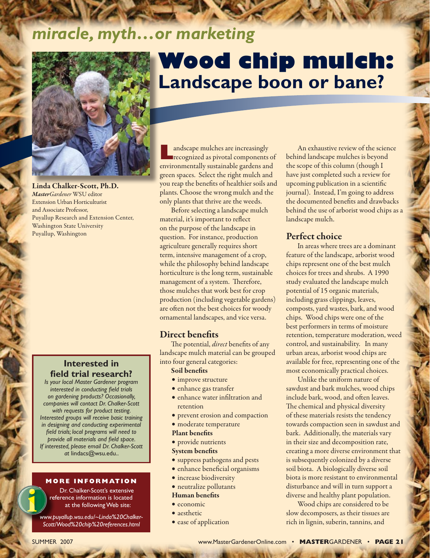# *miracle, myth…or marketing*



Linda Chalker-Scott, Ph.D. *MasterGardener* WSU editor Extension Urban Horticulturist and Associate Professor, Puyallup Research and Extension Center, Washington State University Puyallup, Washington

# **Interested in field trial research?**

*Is your local Master Gardener program interested in conducting field trials on gardening products? Occasionally, companies will contact Dr. Chalker-Scott with requests for product testing. Interested groups will receive basic training in designing and conducting experimental field trials; local programs will need to provide all materials and field space. If interested, please email Dr. Chalker-Scott at* lindacs@wsu.edu..

#### **MORE INFORMATION**

Dr. Chalker-Scott's extensive reference information is located at the following Web site:

*www.puyallup.wsu.edu/~Linda%20Chalker-Scott/Wood%20chip%20references.html*

# **Wood chip mulch: Landscape boon or bane?**

**Landscape mulches are increasingly recognized as pivotal components of** environmentally sustainable gardens and green spaces. Select the right mulch and you reap the benefits of healthier soils and plants. Choose the wrong mulch and the only plants that thrive are the weeds.

Before selecting a landscape mulch material, it's important to reflect on the purpose of the landscape in question. For instance, production agriculture generally requires short term, intensive management of a crop, while the philosophy behind landscape horticulture is the long term, sustainable management of a system. Therefore, those mulches that work best for crop production (including vegetable gardens) are often not the best choices for woody ornamental landscapes, and vice versa.

## Direct benefits

The potential, *direct* benefits of any landscape mulch material can be grouped into four general categories:

#### Soil benefits

- improve structure
- • enhance gas transfer
- • enhance water infiltration and retention
- prevent erosion and compaction
- • moderate temperature

#### Plant benefits

• provide nutrients

#### System benefits

- • suppress pathogens and pests
- • enhance beneficial organisms
- increase biodiversity

#### • neutralize pollutants

#### Human benefits

- economic
- aesthetic
- ease of application

An exhaustive review of the science behind landscape mulches is beyond the scope of this column (though I have just completed such a review for upcoming publication in a scientific journal). Instead, I'm going to address the documented benefits and drawbacks behind the use of arborist wood chips as a landscape mulch.

#### Perfect choice

In areas where trees are a dominant feature of the landscape, arborist wood chips represent one of the best mulch choices for trees and shrubs. A 1990 study evaluated the landscape mulch potential of 15 organic materials, including grass clippings, leaves, composts, yard wastes, bark, and wood chips. Wood chips were one of the best performers in terms of moisture retention, temperature moderation, weed control, and sustainability. In many urban areas, arborist wood chips are available for free, representing one of the most economically practical choices.

Unlike the uniform nature of sawdust and bark mulches, wood chips include bark, wood, and often leaves. The chemical and physical diversity of these materials resists the tendency towards compaction seen in sawdust and bark. Additionally, the materials vary in their size and decomposition rate, creating a more diverse environment that is subsequently colonized by a diverse soil biota. A biologically diverse soil biota is more resistant to environmental disturbance and will in turn support a diverse and healthy plant population.

Wood chips are considered to be slow decomposers, as their tissues are rich in lignin, suberin, tannins, and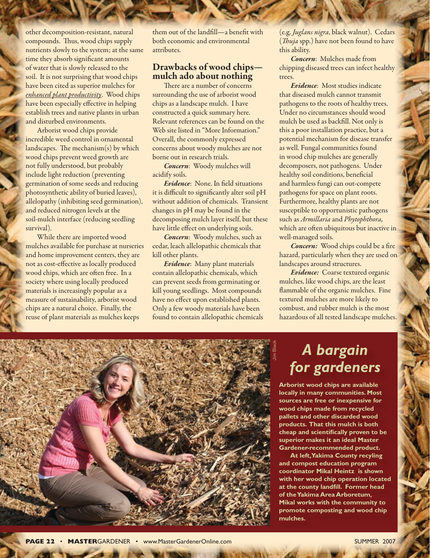other decomposition-resistant, natural compounds. Thus, wood chips supply nutrients slowly to the system; at the same time they absorb significant amounts of water that is slowly released to the soil. It is not surprising that wood chips have been cited as superior mulches for *enhanced plant productivity*. Wood chips have been especially effective in helping establish trees and native plants in urban and disturbed environments.

Arborist wood chips provide incredible weed control in ornamental landscapes. The mechanism(s) by which wood chips prevent weed growth are not fully understood, but probably include light reduction (preventing germination of some seeds and reducing photosynthetic ability of buried leaves), allelopathy (inhibiting seed germination), and reduced nitrogen levels at the soil-mulch interface (reducing seedling survival).

While there are imported wood mulches available for purchase at nurseries and home improvement centers, they are not as cost-effective as locally produced wood chips, which are often free. In a society where using locally produced materials is increasingly popular as a measure of sustainability, arborist wood chips are a natural choice. Finally, the reuse of plant materials as mulches keeps

them out of the landfill—a benefit with both economic and environmental attributes.

#### Drawbacks of wood chips mulch ado about nothing

There are a number of concerns surrounding the use of arborist wood chips as a landscape mulch. I have constructed a quick summary here. Relevant references can be found on the Web site listed in "More Information." Overall, the commonly expressed concerns about woody mulches are not borne out in research trials.

*Concern*: Woody mulches will acidify soils.

*Evidence*: None. In field situations it is difficult to significantly alter soil pH without addition of chemicals. Transient changes in pH may be found in the decomposing mulch layer itself, but these have little effect on underlying soils.

*Concern*: Woody mulches, such as cedar, leach allelopathic chemicals that kill other plants.

*Evidence*: Many plant materials contain allelopathic chemicals, which can prevent seeds from germinating or kill young seedlings. Most compounds have no effect upon established plants. Only a few woody materials have been found to contain allelopathic chemicals (e.g. *Juglans nigra*, black walnut). Cedars (*Thuja* spp.) have not been found to have this ability.

*Concern*: Mulches made from chipping diseased trees can infect healthy trees.

*Evidence*: Most studies indicate that diseased mulch cannot transmit pathogens to the roots of healthy trees. Under no circumstances should wood mulch be used as backfill. Not only is this a poor installation practice, but a potential mechanism for disease transfer as well. Fungal communities found in wood chip mulches are generally decomposers, not pathogens. Under healthy soil conditions, beneficial and harmless fungi can out-compete pathogens for space on plant roots. Furthermore, healthy plants are not susceptible to opportunistic pathogens such as *Armillaria* and *Phytophthora,*  which are often ubiquitous but inactive in well-managed soils.

*Concern:* Wood chips could be a fire hazard, particularly when they are used on landscapes around structures.

*Evidence:* Coarse textured organic mulches, like wood chips, are the least flammable of the organic mulches. Fine textured mulches are more likely to combust, and rubber mulch is the most hazardous of all tested landscape mulches.



# *A bargain for gardeners*

**Arborist wood chips are available locally in many communities. Most sources are free or inexpensive for wood chips made from recycled pallets and other discarded wood products. That this mulch is both cheap and scientifically proven to be superior makes it an ideal Master Gardener-recommended product.** 

**At left, Yakima County recyling and compost education program coordinator Mikal Heintz is shown with her wood chip operation located at the county landfill. Former head of the Yakima Area Arboretum, Mikal works with the community to promote composting and wood chip mulches.**